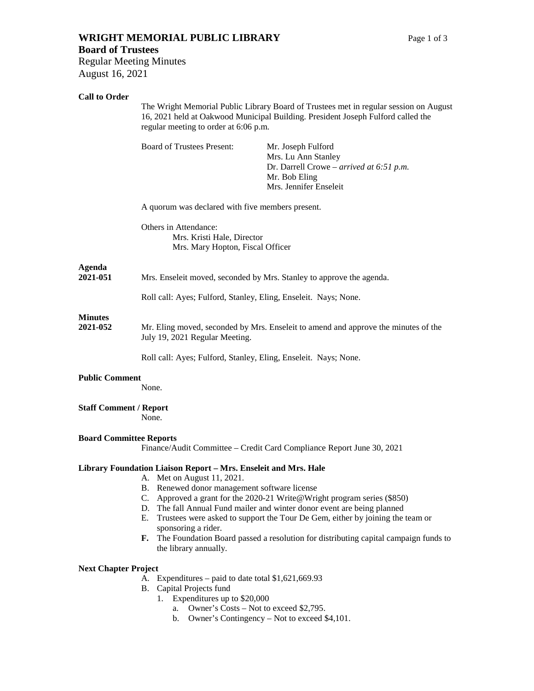# **WRIGHT MEMORIAL PUBLIC LIBRARY** Page 1 of 3

### **Board of Trustees**

Regular Meeting Minutes August 16, 2021

## **Call to Order**

| Call to Order                                                                                           | The Wright Memorial Public Library Board of Trustees met in regular session on August<br>16, 2021 held at Oakwood Municipal Building. President Joseph Fulford called the<br>regular meeting to order at 6:06 p.m. |                                                                                                                                                                                                                                                                                                                               |
|---------------------------------------------------------------------------------------------------------|--------------------------------------------------------------------------------------------------------------------------------------------------------------------------------------------------------------------|-------------------------------------------------------------------------------------------------------------------------------------------------------------------------------------------------------------------------------------------------------------------------------------------------------------------------------|
|                                                                                                         | Board of Trustees Present:                                                                                                                                                                                         | Mr. Joseph Fulford<br>Mrs. Lu Ann Stanley<br>Dr. Darrell Crowe – arrived at 6:51 p.m.<br>Mr. Bob Eling<br>Mrs. Jennifer Enseleit                                                                                                                                                                                              |
|                                                                                                         | A quorum was declared with five members present.                                                                                                                                                                   |                                                                                                                                                                                                                                                                                                                               |
|                                                                                                         | Others in Attendance:<br>Mrs. Kristi Hale, Director<br>Mrs. Mary Hopton, Fiscal Officer                                                                                                                            |                                                                                                                                                                                                                                                                                                                               |
| <b>Agenda</b><br>2021-051                                                                               | Mrs. Enseleit moved, seconded by Mrs. Stanley to approve the agenda.                                                                                                                                               |                                                                                                                                                                                                                                                                                                                               |
|                                                                                                         | Roll call: Ayes; Fulford, Stanley, Eling, Enseleit. Nays; None.                                                                                                                                                    |                                                                                                                                                                                                                                                                                                                               |
| <b>Minutes</b><br>2021-052                                                                              | Mr. Eling moved, seconded by Mrs. Enseleit to amend and approve the minutes of the<br>July 19, 2021 Regular Meeting.                                                                                               |                                                                                                                                                                                                                                                                                                                               |
|                                                                                                         | Roll call: Ayes; Fulford, Stanley, Eling, Enseleit. Nays; None.                                                                                                                                                    |                                                                                                                                                                                                                                                                                                                               |
| <b>Public Comment</b><br>None.                                                                          |                                                                                                                                                                                                                    |                                                                                                                                                                                                                                                                                                                               |
| <b>Staff Comment / Report</b>                                                                           | None.                                                                                                                                                                                                              |                                                                                                                                                                                                                                                                                                                               |
| <b>Board Committee Reports</b><br>Finance/Audit Committee – Credit Card Compliance Report June 30, 2021 |                                                                                                                                                                                                                    |                                                                                                                                                                                                                                                                                                                               |
|                                                                                                         | Library Foundation Liaison Report - Mrs. Enseleit and Mrs. Hale<br>A. Met on August 11, 2021.<br>B. Renewed donor management software license<br>Е.<br>sponsoring a rider.<br>the library annually.                | C. Approved a grant for the 2020-21 Write@Wright program series (\$850)<br>D. The fall Annual Fund mailer and winter donor event are being planned<br>Trustees were asked to support the Tour De Gem, either by joining the team or<br>F. The Foundation Board passed a resolution for distributing capital campaign funds to |
| <b>Next Chapter Project</b>                                                                             | Expanditures poid to dote total $$1,621,660,02$                                                                                                                                                                    |                                                                                                                                                                                                                                                                                                                               |

- A. Expenditures paid to date total \$1,621,669.93
- B. Capital Projects fund
	- 1. Expenditures up to \$20,000
		- a. Owner's Costs Not to exceed \$2,795.
		- b. Owner's Contingency Not to exceed \$4,101.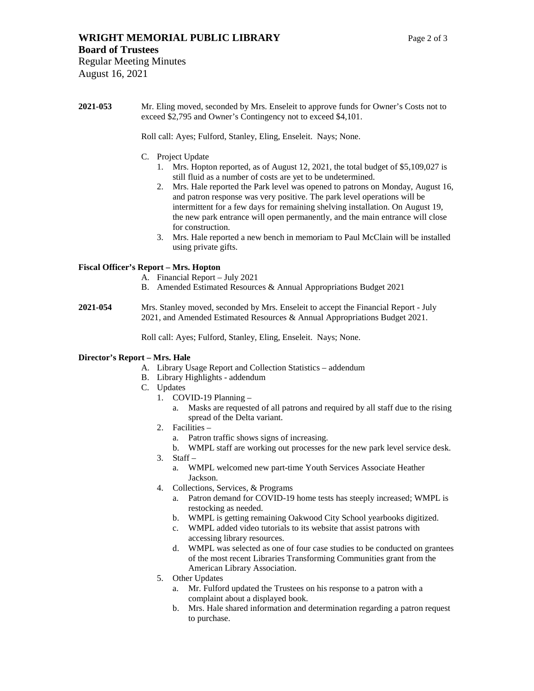## **WRIGHT MEMORIAL PUBLIC LIBRARY** Page 2 of 3

Roll call: Ayes; Fulford, Stanley, Eling, Enseleit. Nays; None.

- C. Project Update
	- 1. Mrs. Hopton reported, as of August 12, 2021, the total budget of \$5,109,027 is still fluid as a number of costs are yet to be undetermined.
	- 2. Mrs. Hale reported the Park level was opened to patrons on Monday, August 16, and patron response was very positive. The park level operations will be intermittent for a few days for remaining shelving installation. On August 19, the new park entrance will open permanently, and the main entrance will close for construction.
	- 3. Mrs. Hale reported a new bench in memoriam to Paul McClain will be installed using private gifts.

### **Fiscal Officer's Report – Mrs. Hopton**

- A. Financial Report July 2021
- B. Amended Estimated Resources & Annual Appropriations Budget 2021
- **2021-054** Mrs. Stanley moved, seconded by Mrs. Enseleit to accept the Financial Report July 2021, and Amended Estimated Resources & Annual Appropriations Budget 2021.

Roll call: Ayes; Fulford, Stanley, Eling, Enseleit. Nays; None.

#### **Director's Report – Mrs. Hale**

- A. Library Usage Report and Collection Statistics addendum
- B. Library Highlights addendum
- C. Updates
	- 1. COVID-19 Planning
		- a. Masks are requested of all patrons and required by all staff due to the rising spread of the Delta variant.
		- 2. Facilities
			- a. Patron traffic shows signs of increasing.
			- b. WMPL staff are working out processes for the new park level service desk.
		- 3. Staff  $$ 
			- a. WMPL welcomed new part-time Youth Services Associate Heather Jackson.
		- 4. Collections, Services, & Programs
			- a. Patron demand for COVID-19 home tests has steeply increased; WMPL is restocking as needed.
			- b. WMPL is getting remaining Oakwood City School yearbooks digitized.
			- c. WMPL added video tutorials to its website that assist patrons with accessing library resources.
			- d. WMPL was selected as one of four case studies to be conducted on grantees of the most recent Libraries Transforming Communities grant from the American Library Association.
		- 5. Other Updates
			- a. Mr. Fulford updated the Trustees on his response to a patron with a complaint about a displayed book.
			- b. Mrs. Hale shared information and determination regarding a patron request to purchase.